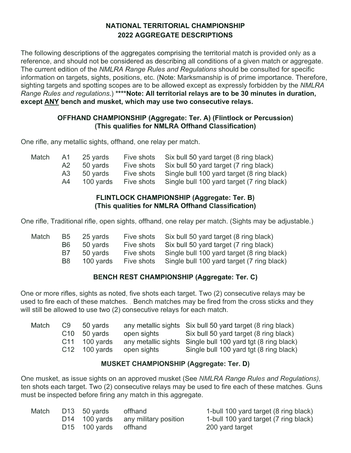# **NATIONAL TERRITORIAL CHAMPIONSHIP 2022 AGGREGATE DESCRIPTIONS**

The following descriptions of the aggregates comprising the territorial match is provided only as a reference, and should not be considered as describing all conditions of a given match or aggregate. The current edition of the *NMLRA Range Rules and Regulations* should be consulted for specific information on targets, sights, positions, etc. (Note: Marksmanship is of prime importance. Therefore, sighting targets and spotting scopes are to be allowed except as expressly forbidden by the *NMLRA Range Rules and regulations*.) **\*\*\*\*Note: All territorial relays are to be 30 minutes in duration, except ANY bench and musket, which may use two consecutive relays.**

# **OFFHAND CHAMPIONSHIP (Aggregate: Ter. A) (Flintlock or Percussion) (This qualifies for NMLRA Offhand Classification)**

One rifle, any metallic sights, offhand, one relay per match.

| Match |      | A1 25 yards |            | Five shots Six bull 50 yard target (8 ring black)     |
|-------|------|-------------|------------|-------------------------------------------------------|
|       | A2   | 50 yards    |            | Five shots Six bull 50 yard target (7 ring black)     |
|       | A3 - | 50 yards    |            | Five shots Single bull 100 yard target (8 ring black) |
|       | A4   | 100 vards   | Five shots | Single bull 100 yard target (7 ring black)            |

#### **FLINTLOCK CHAMPIONSHIP (Aggregate: Ter. B) (This qualities for NMLRA Offhand Classification)**

One rifle, Traditional rifle, open sights, offhand, one relay per match. (Sights may be adjustable.)

| Match | B5        | 25 yards  | Five shots | Six bull 50 yard target (8 ring black)     |
|-------|-----------|-----------|------------|--------------------------------------------|
|       | B6.       | 50 yards  | Five shots | Six bull 50 yard target (7 ring black)     |
|       | B7.       | 50 vards  | Five shots | Single bull 100 yard target (8 ring black) |
|       | <b>B8</b> | 100 yards | Five shots | Single bull 100 yard target (7 ring black) |

# **BENCH REST CHAMPIONSHIP (Aggregate: Ter. C)**

One or more rifles, sights as noted, five shots each target. Two (2) consecutive relays may be used to fire each of these matches. , Bench matches may be fired from the cross sticks and they will still be allowed to use two (2) consecutive relays for each match.

| Match | C9 50 vards     |             | any metallic sights Six bull 50 yard target (8 ring black)  |
|-------|-----------------|-------------|-------------------------------------------------------------|
|       | $C10$ 50 vards  | open sights | Six bull 50 yard target (8 ring black)                      |
|       | $C11$ 100 vards |             | any metallic sights Single bull 100 yard tgt (8 ring black) |
|       | $C12$ 100 yards | open sights | Single bull 100 yard tgt (8 ring black)                     |

# **MUSKET CHAMPIONSHIP (Aggregate: Ter. D)**

One musket, as issue sights on an approved musket (See *NMLRA Range Rules and Regulations),*  ten shots each target. Two (2) consecutive relays may be used to fire each of these matches. Guns must be inspected before firing any match in this aggregate.

| Match | D13 50 yards                      | offhand                             | 1-bull 100 yard target (8 ring black) |
|-------|-----------------------------------|-------------------------------------|---------------------------------------|
|       |                                   | D14 100 yards any military position | 1-bull 100 yard target (7 ring black) |
|       | D <sub>15</sub> 100 yards offhand |                                     | 200 yard target                       |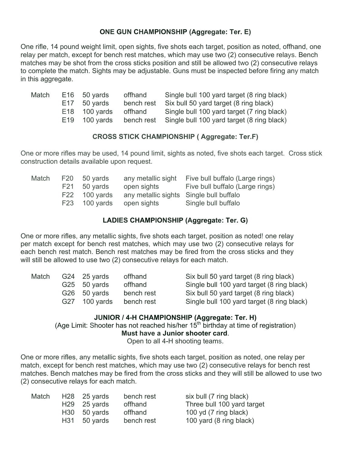# **ONE GUN CHAMPIONSHIP (Aggregate: Ter. E)**

One rifle, 14 pound weight limit, open sights, five shots each target, position as noted, offhand, one relay per match, except for bench rest matches, which may use two (2) consecutive relays. Bench matches may be shot from the cross sticks position and still be allowed two (2) consecutive relays to complete the match. Sights may be adjustable. Guns must be inspected before firing any match in this aggregate.

| Match | $E16$ 50 yards  | offhand    | Single bull 100 yard target (8 ring black) |
|-------|-----------------|------------|--------------------------------------------|
|       | $E17$ 50 yards  | bench rest | Six bull 50 yard target (8 ring black)     |
|       | $E18$ 100 yards | offhand    | Single bull 100 yard target (7 ring black) |
|       | $E19$ 100 vards | bench rest | Single bull 100 yard target (8 ring black) |

#### **CROSS STICK CHAMPIONSHIP ( Aggregate: Ter.F)**

One or more rifles may be used, 14 pound limit, sights as noted, five shots each target. Cross stick construction details available upon request.

|  | any metallic sight           | Five bull buffalo (Large rings)                                                    |
|--|------------------------------|------------------------------------------------------------------------------------|
|  | open sights                  | Five bull buffalo (Large rings)                                                    |
|  |                              |                                                                                    |
|  |                              | Single bull buffalo                                                                |
|  | F20 50 yards<br>F21 50 yards | F22 100 yards any metallic sights Single bull buffalo<br>F23 100 yards open sights |

#### **LADIES CHAMPIONSHIP (Aggregate: Ter. G)**

One or more rifles, any metallic sights, five shots each target, position as noted! one relay per match except for bench rest matches, which may use two (2) consecutive relays for each bench rest match. Bench rest matches may be fired from the cross sticks and they will still be allowed to use two (2) consecutive relays for each match.

| Match | G24 $25$ yards | offhand    | Six bull 50 yard target (8 ring black)     |
|-------|----------------|------------|--------------------------------------------|
|       | G25 50 yards   | offhand    | Single bull 100 yard target (8 ring black) |
|       | G26 50 yards   | bench rest | Six bull 50 yard target (8 ring black)     |
|       | G27 100 yards  | bench rest | Single bull 100 yard target (8 ring black) |

#### **JUNIOR / 4-H CHAMPIONSHIP (Aggregate: Ter. H)**

(Age Limit: Shooter has not reached his/her  $15<sup>th</sup>$  birthday at time of registration) **Must have a Junior shooter card**.

Open to all 4-H shooting teams.

One or more rifles, any metallic sights, five shots each target, position as noted, one relay per match, except for bench rest matches, which may use two (2) consecutive relays for bench rest matches. Bench matches may be fired from the cross sticks and they will still be allowed to use two (2) consecutive relays for each match.

| six bull (7 ring black)    |
|----------------------------|
| Three bull 100 yard target |
| 100 yd (7 ring black)      |
| 100 yard (8 ring black)    |
|                            |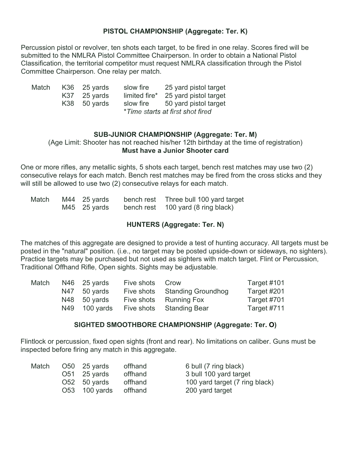# **PISTOL CHAMPIONSHIP (Aggregate: Ter. K)**

Percussion pistol or revolver, ten shots each target, to be fired in one relay. Scores fired will be submitted to the NMLRA Pistol Committee Chairperson. In order to obtain a National Pistol Classification, the territorial competitor must request NMLRA classification through the Pistol Committee Chairperson. One relay per match.

| Match |     | $K36$ 25 yards | slow fire     | 25 yard pistol target            |
|-------|-----|----------------|---------------|----------------------------------|
|       | K37 | 25 yards       | limited fire* | 25 yard pistol target            |
|       |     | K38 50 yards   | slow fire     | 50 yard pistol target            |
|       |     |                |               | *Time starts at first shot fired |

#### **SUB-JUNIOR CHAMPIONSHIP (Aggregate: Ter. M)**

(Age Limit: Shooter has not reached his/her 12th birthday at the time of registration) **Must have a Junior Shooter card**

One or more rifles, any metallic sights, 5 shots each target, bench rest matches may use two (2) consecutive relays for each match. Bench rest matches may be fired from the cross sticks and they will still be allowed to use two (2) consecutive relays for each match.

| Match | $M44$ 25 yards | bench rest | Three bull 100 yard target         |
|-------|----------------|------------|------------------------------------|
|       | $M45$ 25 yards |            | bench rest 100 yard (8 ring black) |

#### **HUNTERS (Aggregate: Ter. N)**

The matches of this aggregate are designed to provide a test of hunting accuracy. All targets must be posted in the "natural" position. (i.e., no target may be posted upside-down or sideways, no sighters). Practice targets may be purchased but not used as sighters with match target. Flint or Percussion, Traditional Offhand Rifle, Open sights. Sights may be adjustable.

| Match | $N46$ 25 yards | Five shots Crow |                           | Target #101 |
|-------|----------------|-----------------|---------------------------|-------------|
|       | N47 50 yards   | Five shots      | <b>Standing Groundhog</b> | Target #201 |
|       | $N48$ 50 yards | Five shots      | <b>Running Fox</b>        | Target #701 |
|       | N49 100 yards  |                 | Five shots Standing Bear  | Target #711 |

#### **SIGHTED SMOOTHBORE CHAMPIONSHIP (Aggregate: Ter. O)**

Flintlock or percussion, fixed open sights (front and rear). No limitations on caliber. Guns must be inspected before firing any match in this aggregate.

| Match | $O50 \quad 25 \text{ yards}$ | offhand | 6 bull (7 ring black)          |
|-------|------------------------------|---------|--------------------------------|
|       | $O51$ 25 yards               | offhand | 3 bull 100 yard target         |
|       | $O52$ 50 yards               | offhand | 100 yard target (7 ring black) |
|       | O53 100 yards                | offhand | 200 yard target                |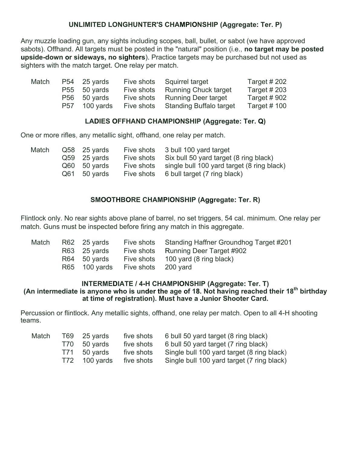# **UNLIMITED LONGHUNTER'S CHAMPIONSHIP (Aggregate: Ter. P)**

Any muzzle loading gun, any sights including scopes, ball, bullet, or sabot (we have approved sabots). Offhand. All targets must be posted in the "natural" position (i.e., **no target may be posted upside-down or sideways, no sighters**). Practice targets may be purchased but not used as sighters with the match target. One relay per match.

| Match | P54 25 yards  |            | Five shots Squirrel target         | Target $#202$      |
|-------|---------------|------------|------------------------------------|--------------------|
|       | P55 50 yards  | Five shots | <b>Running Chuck target</b>        | <b>Target #203</b> |
|       | P56 50 yards  |            | Five shots Running Deer target     | Target $#902$      |
|       | P57 100 yards |            | Five shots Standing Buffalo target | Target $#$ 100     |

# **LADIES OFFHAND CHAMPIONSHIP (Aggregate: Ter. Q)**

One or more rifles, any metallic sight, offhand, one relay per match.

| Match | Q58 25 yards<br>$Q59$ 25 yards<br>Q60 50 yards<br>Q61 50 yards | Five shots<br>Five shots | Five shots 3 bull 100 yard target<br>Six bull 50 yard target (8 ring black)<br>Five shots single bull 100 yard target (8 ring black)<br>6 bull target (7 ring black) |
|-------|----------------------------------------------------------------|--------------------------|----------------------------------------------------------------------------------------------------------------------------------------------------------------------|
|       |                                                                |                          |                                                                                                                                                                      |

# **SMOOTHBORE CHAMPIONSHIP (Aggregate: Ter. R)**

Flintlock only. No rear sights above plane of barrel, no set triggers, 54 cal. minimum. One relay per match. Guns must be inspected before firing any match in this aggregate.

| Match | R62 25 yards |                                   | Five shots Standing Haffner Groundhog Target #201 |
|-------|--------------|-----------------------------------|---------------------------------------------------|
|       | R63 25 yards |                                   | Five shots Running Deer Target #902               |
|       | R64 50 yards |                                   | Five shots 100 yard (8 ring black)                |
|       |              | R65 100 yards Five shots 200 yard |                                                   |

#### **INTERMEDIATE / 4-H CHAMPIONSHIP (Aggregate: Ter. T) (An intermediate is anyone who is under the age of 18. Not having reached their 18th birthday at time of registration). Must have a Junior Shooter Card.**

Percussion or flintlock. Any metallic sights, offhand, one relay per match. Open to all 4-H shooting teams.

| Match | T69 | 25 yards     | five shots | 6 bull 50 yard target (8 ring black)       |
|-------|-----|--------------|------------|--------------------------------------------|
|       |     | T70 50 yards | five shots | 6 bull 50 yard target (7 ring black)       |
|       |     | T71 50 yards | five shots | Single bull 100 yard target (8 ring black) |
|       | T72 | 100 yards    | five shots | Single bull 100 yard target (7 ring black) |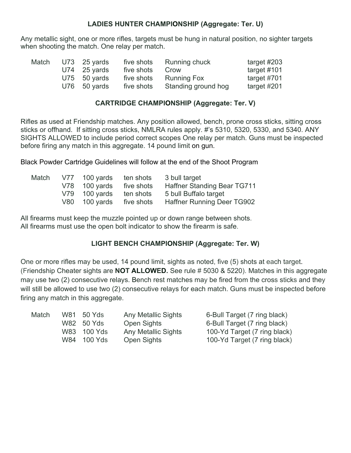#### **LADIES HUNTER CHAMPIONSHIP (Aggregate: Ter. U)**

Any metallic sight, one or more rifles, targets must be hung in natural position, no sighter targets when shooting the match. One relay per match.

| Match | $U73$ 25 yards | five shots | Running chuck       | target $\#203$ |
|-------|----------------|------------|---------------------|----------------|
|       | $U74$ 25 yards | five shots | Crow                | target $\#101$ |
|       | $U75$ 50 yards | five shots | <b>Running Fox</b>  | target #701    |
|       | $U76$ 50 yards | five shots | Standing ground hog | target #201    |

#### **CARTRIDGE CHAMPIONSHIP (Aggregate: Ter. V)**

Rifles as used at Friendship matches. Any position allowed, bench, prone cross sticks, sitting cross sticks or offhand. If sitting cross sticks, NMLRA rules apply. #'s 5310, 5320, 5330, and 5340. ANY SIGHTS ALLOWED to include period correct scopes One relay per match. Guns must be inspected before firing any match in this aggregate. 14 pound limit on gun.

Black Powder Cartridge Guidelines will follow at the end of the Shoot Program

| Match | V77 | 100 yards       | ten shots  | 3 bull target               |
|-------|-----|-----------------|------------|-----------------------------|
|       |     | $V78$ 100 yards | five shots | Haffner Standing Bear TG711 |
|       |     | $V79$ 100 yards | ten shots  | 5 bull Buffalo target       |
|       |     | V80 100 yards   | five shots | Haffner Running Deer TG902  |

All firearms must keep the muzzle pointed up or down range between shots. All firearms must use the open bolt indicator to show the firearm is safe.

# **LIGHT BENCH CHAMPIONSHIP (Aggregate: Ter. W)**

One or more rifles may be used, 14 pound limit, sights as noted, five (5) shots at each target. (Friendship Cheater sights are **NOT ALLOWED.** See rule # 5030 & 5220). Matches in this aggregate may use two (2) consecutive relays. Bench rest matches may be fired from the cross sticks and they will still be allowed to use two (2) consecutive relays for each match. Guns must be inspected before firing any match in this aggregate.

|  | Any Metallic Sights                                    | 6-Bull Target (7 ring black) |
|--|--------------------------------------------------------|------------------------------|
|  | Open Sights                                            | 6-Bull Target (7 ring black) |
|  | <b>Any Metallic Sights</b>                             | 100-Yd Target (7 ring black) |
|  | Open Sights                                            | 100-Yd Target (7 ring black) |
|  | W81 50 Yds<br>W82 50 Yds<br>W83 100 Yds<br>W84 100 Yds |                              |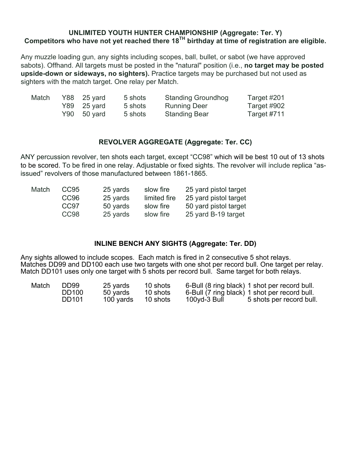#### **UNLIMITED YOUTH HUNTER CHAMPIONSHIP (Aggregate: Ter. Y) Competitors who have not yet reached there 18TH birthday at time of registration are eligible.**

Any muzzle loading gun, any sights including scopes, ball, bullet, or sabot (we have approved sabots). Offhand. All targets must be posted in the "natural" position (i.e., **no target may be posted upside-down or sideways, no sighters).** Practice targets may be purchased but not used as sighters with the match target. One relay per Match.

| Match | $Y88$ 25 yard | 5 shots | <b>Standing Groundhog</b> | Target #201 |
|-------|---------------|---------|---------------------------|-------------|
|       | $Y89$ 25 yard | 5 shots | <b>Running Deer</b>       | Target #902 |
|       | $Y90$ 50 yard | 5 shots | <b>Standing Bear</b>      | Target #711 |

# **REVOLVER AGGREGATE (Aggregate: Ter. CC)**

ANY percussion revolver, ten shots each target, except "CC98" which will be best 10 out of 13 shots to be scored. To be fired in one relay. Adjustable or fixed sights. The revolver will include replica "asissued" revolvers of those manufactured between 1861-1865.

| Match | CC <sub>95</sub> | 25 yards | slow fire    | 25 yard pistol target |
|-------|------------------|----------|--------------|-----------------------|
|       | CC <sub>96</sub> | 25 yards | limited fire | 25 yard pistol target |
|       | CC97             | 50 yards | slow fire    | 50 yard pistol target |
|       | CC <sub>98</sub> | 25 yards | slow fire    | 25 yard B-19 target   |

# **INLINE BENCH ANY SIGHTS (Aggregate: Ter. DD)**

Any sights allowed to include scopes. Each match is fired in 2 consecutive 5 shot relays. Matches DD99 and DD100 each use two targets with one shot per record bull. One target per relay. Match DD101 uses only one target with 5 shots per record bull. Same target for both relays.

| Match | DD <sub>99</sub> | 25 yards  | 10 shots |              | 6-Bull (8 ring black) 1 shot per record bull. |
|-------|------------------|-----------|----------|--------------|-----------------------------------------------|
|       | <b>DD100</b>     | 50 vards  | 10 shots |              | 6-Bull (7 ring black) 1 shot per record bull. |
|       | DD101            | 100 yards | 10 shots | 100yd-3 Bull | 5 shots per record bull.                      |